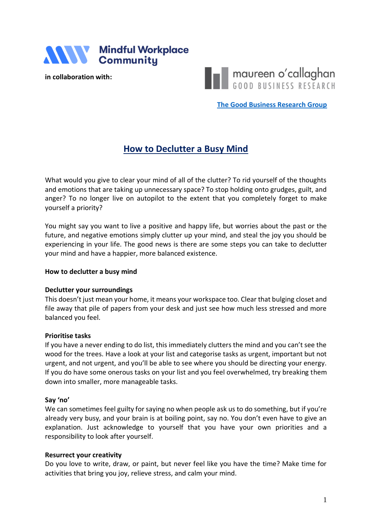

**in collaboration with:**

THE maureen o'callaghan

**[The Good Business Research Group](https://www.linkedin.com/groups/8955175/)**

# **How to Declutter a Busy Mind**

What would you give to clear your mind of all of the clutter? To rid yourself of the thoughts and emotions that are taking up unnecessary space? To stop holding onto grudges, guilt, and anger? To no longer live on autopilot to the extent that you completely forget to make yourself a priority?

You might say you want to live a positive and happy life, but worries about the past or the future, and negative emotions simply clutter up your mind, and steal the joy you should be experiencing in your life. The good news is there are some steps you can take to declutter your mind and have a happier, more balanced existence.

#### **How to declutter a busy mind**

#### **Declutter your surroundings**

This doesn't just mean your home, it means your workspace too. Clear that bulging closet and file away that pile of papers from your desk and just see how much less stressed and more balanced you feel.

#### **Prioritise tasks**

If you have a never ending to do list, this immediately clutters the mind and you can't see the wood for the trees. Have a look at your list and categorise tasks as urgent, important but not urgent, and not urgent, and you'll be able to see where you should be directing your energy. If you do have some onerous tasks on your list and you feel overwhelmed, try breaking them down into smaller, more manageable tasks.

#### **Say 'no'**

We can sometimes feel guilty for saying no when people ask us to do something, but if you're already very busy, and your brain is at boiling point, say no. You don't even have to give an explanation. Just acknowledge to yourself that you have your own priorities and a responsibility to look after yourself.

#### **Resurrect your creativity**

Do you love to write, draw, or paint, but never feel like you have the time? Make time for activities that bring you joy, relieve stress, and calm your mind.